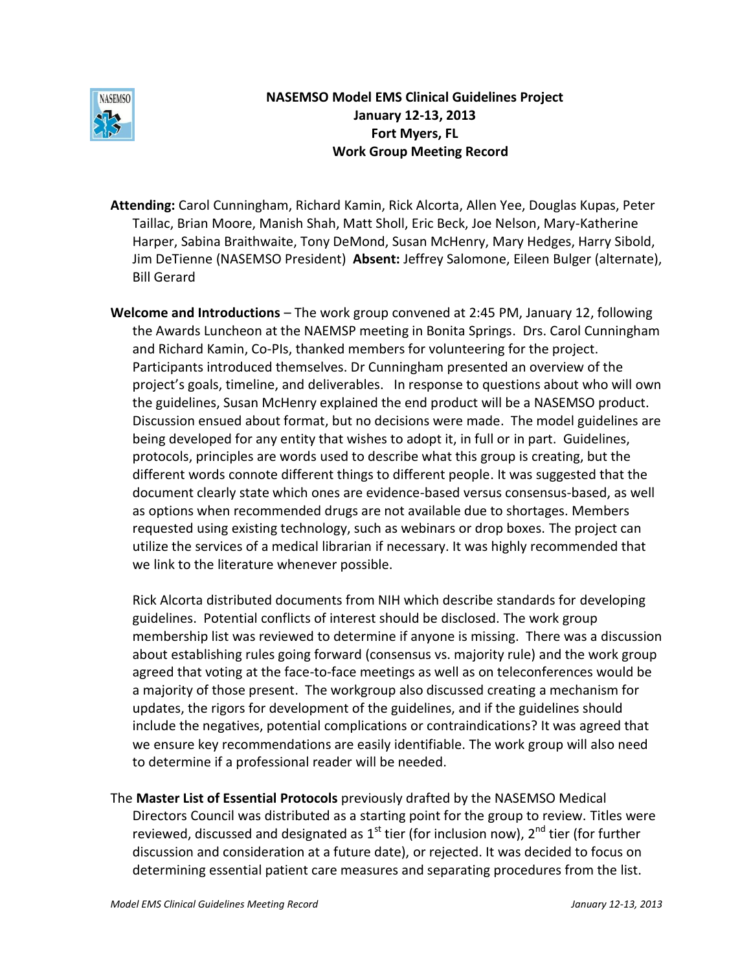

# **NASEMSO Model EMS Clinical Guidelines Project January 12-13, 2013 Fort Myers, FL Work Group Meeting Record**

- **Attending:** Carol Cunningham, Richard Kamin, Rick Alcorta, Allen Yee, Douglas Kupas, Peter Taillac, Brian Moore, Manish Shah, Matt Sholl, Eric Beck, Joe Nelson, Mary-Katherine Harper, Sabina Braithwaite, Tony DeMond, Susan McHenry, Mary Hedges, Harry Sibold, Jim DeTienne (NASEMSO President) **Absent:** Jeffrey Salomone, Eileen Bulger (alternate), Bill Gerard
- **Welcome and Introductions**  The work group convened at 2:45 PM, January 12, following the Awards Luncheon at the NAEMSP meeting in Bonita Springs. Drs. Carol Cunningham and Richard Kamin, Co-PIs, thanked members for volunteering for the project. Participants introduced themselves. Dr Cunningham presented an overview of the project's goals, timeline, and deliverables. In response to questions about who will own the guidelines, Susan McHenry explained the end product will be a NASEMSO product. Discussion ensued about format, but no decisions were made. The model guidelines are being developed for any entity that wishes to adopt it, in full or in part. Guidelines, protocols, principles are words used to describe what this group is creating, but the different words connote different things to different people. It was suggested that the document clearly state which ones are evidence-based versus consensus-based, as well as options when recommended drugs are not available due to shortages. Members requested using existing technology, such as webinars or drop boxes. The project can utilize the services of a medical librarian if necessary. It was highly recommended that we link to the literature whenever possible.

Rick Alcorta distributed documents from NIH which describe standards for developing guidelines. Potential conflicts of interest should be disclosed. The work group membership list was reviewed to determine if anyone is missing. There was a discussion about establishing rules going forward (consensus vs. majority rule) and the work group agreed that voting at the face-to-face meetings as well as on teleconferences would be a majority of those present. The workgroup also discussed creating a mechanism for updates, the rigors for development of the guidelines, and if the guidelines should include the negatives, potential complications or contraindications? It was agreed that we ensure key recommendations are easily identifiable. The work group will also need to determine if a professional reader will be needed.

The **Master List of Essential Protocols** previously drafted by the NASEMSO Medical Directors Council was distributed as a starting point for the group to review. Titles were reviewed, discussed and designated as 1<sup>st</sup> tier (for inclusion now), 2<sup>nd</sup> tier (for further discussion and consideration at a future date), or rejected. It was decided to focus on determining essential patient care measures and separating procedures from the list.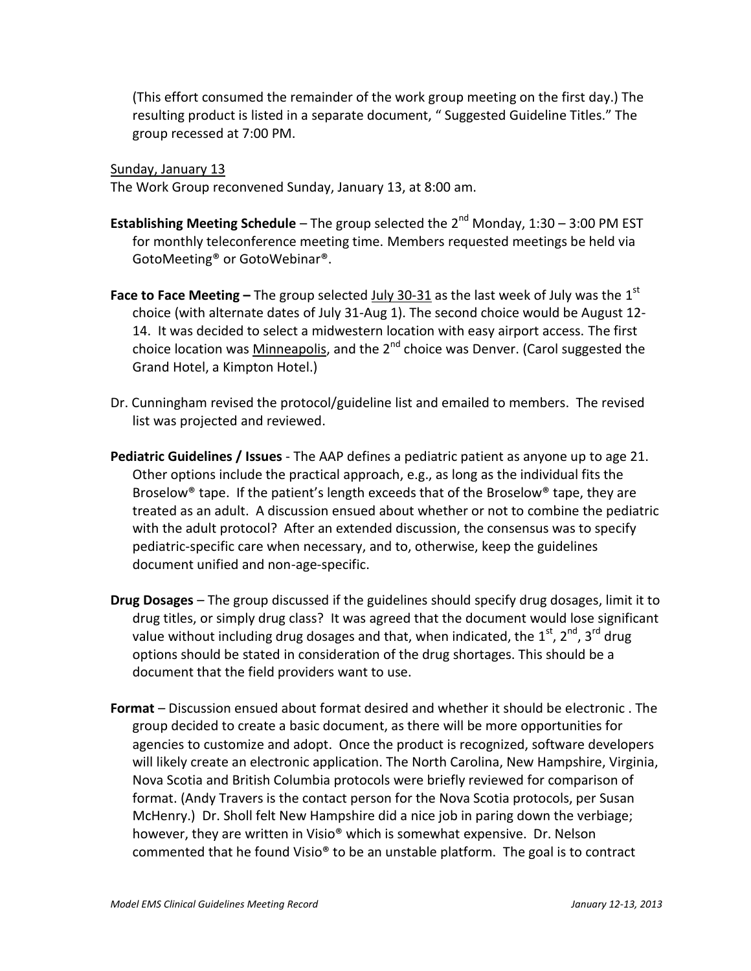(This effort consumed the remainder of the work group meeting on the first day.) The resulting product is listed in a separate document, " Suggested Guideline Titles." The group recessed at 7:00 PM.

#### Sunday, January 13

The Work Group reconvened Sunday, January 13, at 8:00 am.

- **Establishing Meeting Schedule** The group selected the 2<sup>nd</sup> Monday, 1:30 3:00 PM EST for monthly teleconference meeting time. Members requested meetings be held via GotoMeeting® or GotoWebinar®.
- **Face to Face Meeting –** The group selected <u>July 30-31</u> as the last week of July was the 1<sup>st</sup> choice (with alternate dates of July 31-Aug 1). The second choice would be August 12- 14. It was decided to select a midwestern location with easy airport access. The first choice location was Minneapolis, and the 2<sup>nd</sup> choice was Denver. (Carol suggested the Grand Hotel, a Kimpton Hotel.)
- Dr. Cunningham revised the protocol/guideline list and emailed to members. The revised list was projected and reviewed.
- **Pediatric Guidelines / Issues** The AAP defines a pediatric patient as anyone up to age 21. Other options include the practical approach, e.g., as long as the individual fits the Broselow® tape. If the patient's length exceeds that of the Broselow® tape, they are treated as an adult. A discussion ensued about whether or not to combine the pediatric with the adult protocol? After an extended discussion, the consensus was to specify pediatric-specific care when necessary, and to, otherwise, keep the guidelines document unified and non-age-specific.
- **Drug Dosages** The group discussed if the guidelines should specify drug dosages, limit it to drug titles, or simply drug class? It was agreed that the document would lose significant value without including drug dosages and that, when indicated, the 1<sup>st</sup>, 2<sup>nd</sup>, 3<sup>rd</sup> drug options should be stated in consideration of the drug shortages. This should be a document that the field providers want to use.
- **Format** Discussion ensued about format desired and whether it should be electronic . The group decided to create a basic document, as there will be more opportunities for agencies to customize and adopt. Once the product is recognized, software developers will likely create an electronic application. The North Carolina, New Hampshire, Virginia, Nova Scotia and British Columbia protocols were briefly reviewed for comparison of format. (Andy Travers is the contact person for the Nova Scotia protocols, per Susan McHenry.) Dr. Sholl felt New Hampshire did a nice job in paring down the verbiage; however, they are written in Visio® which is somewhat expensive. Dr. Nelson commented that he found Visio® to be an unstable platform. The goal is to contract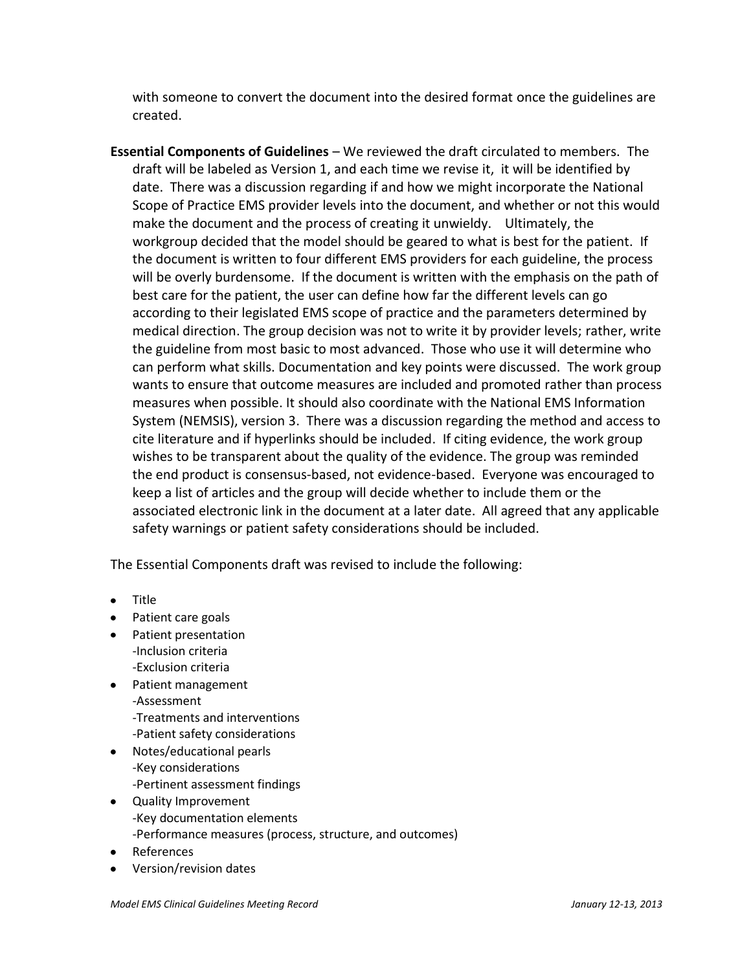with someone to convert the document into the desired format once the guidelines are created.

**Essential Components of Guidelines** – We reviewed the draft circulated to members. The draft will be labeled as Version 1, and each time we revise it, it will be identified by date. There was a discussion regarding if and how we might incorporate the National Scope of Practice EMS provider levels into the document, and whether or not this would make the document and the process of creating it unwieldy. Ultimately, the workgroup decided that the model should be geared to what is best for the patient. If the document is written to four different EMS providers for each guideline, the process will be overly burdensome. If the document is written with the emphasis on the path of best care for the patient, the user can define how far the different levels can go according to their legislated EMS scope of practice and the parameters determined by medical direction. The group decision was not to write it by provider levels; rather, write the guideline from most basic to most advanced. Those who use it will determine who can perform what skills. Documentation and key points were discussed. The work group wants to ensure that outcome measures are included and promoted rather than process measures when possible. It should also coordinate with the National EMS Information System (NEMSIS), version 3. There was a discussion regarding the method and access to cite literature and if hyperlinks should be included. If citing evidence, the work group wishes to be transparent about the quality of the evidence. The group was reminded the end product is consensus-based, not evidence-based. Everyone was encouraged to keep a list of articles and the group will decide whether to include them or the associated electronic link in the document at a later date. All agreed that any applicable safety warnings or patient safety considerations should be included.

The Essential Components draft was revised to include the following:

- Title
- Patient care goals
- Patient presentation -Inclusion criteria -Exclusion criteria
- Patient management -Assessment -Treatments and interventions -Patient safety considerations
- Notes/educational pearls -Key considerations -Pertinent assessment findings
- Quality Improvement -Key documentation elements -Performance measures (process, structure, and outcomes)
- References
- Version/revision dates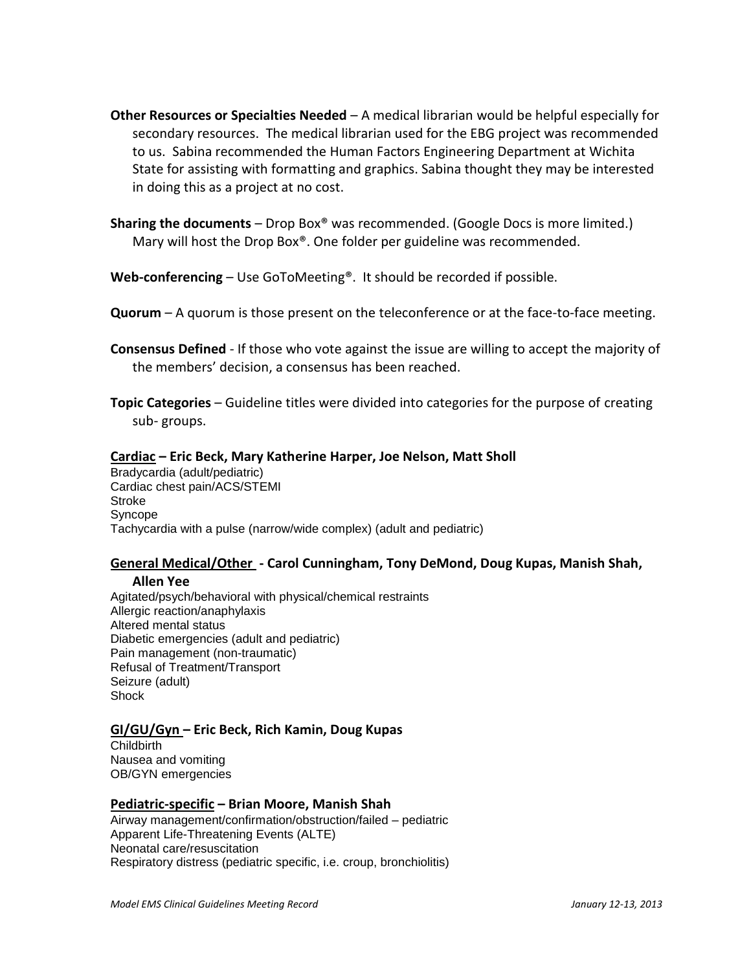- **Other Resources or Specialties Needed** A medical librarian would be helpful especially for secondary resources. The medical librarian used for the EBG project was recommended to us. Sabina recommended the Human Factors Engineering Department at Wichita State for assisting with formatting and graphics. Sabina thought they may be interested in doing this as a project at no cost.
- **Sharing the documents** Drop Box® was recommended. (Google Docs is more limited.) Mary will host the Drop Box®. One folder per guideline was recommended.
- **Web-conferencing** Use GoToMeeting®. It should be recorded if possible.
- **Quorum** A quorum is those present on the teleconference or at the face-to-face meeting.
- **Consensus Defined**  If those who vote against the issue are willing to accept the majority of the members' decision, a consensus has been reached.
- **Topic Categories** Guideline titles were divided into categories for the purpose of creating sub- groups.

## **Cardiac – Eric Beck, Mary Katherine Harper, Joe Nelson, Matt Sholl**

Bradycardia (adult/pediatric) Cardiac chest pain/ACS/STEMI **Stroke** Syncope Tachycardia with a pulse (narrow/wide complex) (adult and pediatric)

### **General Medical/Other - Carol Cunningham, Tony DeMond, Doug Kupas, Manish Shah,**

#### **Allen Yee**

Agitated/psych/behavioral with physical/chemical restraints Allergic reaction/anaphylaxis Altered mental status Diabetic emergencies (adult and pediatric) Pain management (non-traumatic) Refusal of Treatment/Transport Seizure (adult) **Shock** 

#### **GI/GU/Gyn – Eric Beck, Rich Kamin, Doug Kupas**

**Childbirth** Nausea and vomiting OB/GYN emergencies

#### **Pediatric-specific – Brian Moore, Manish Shah**

Airway management/confirmation/obstruction/failed – pediatric Apparent Life-Threatening Events (ALTE) Neonatal care/resuscitation Respiratory distress (pediatric specific, i.e. croup, bronchiolitis)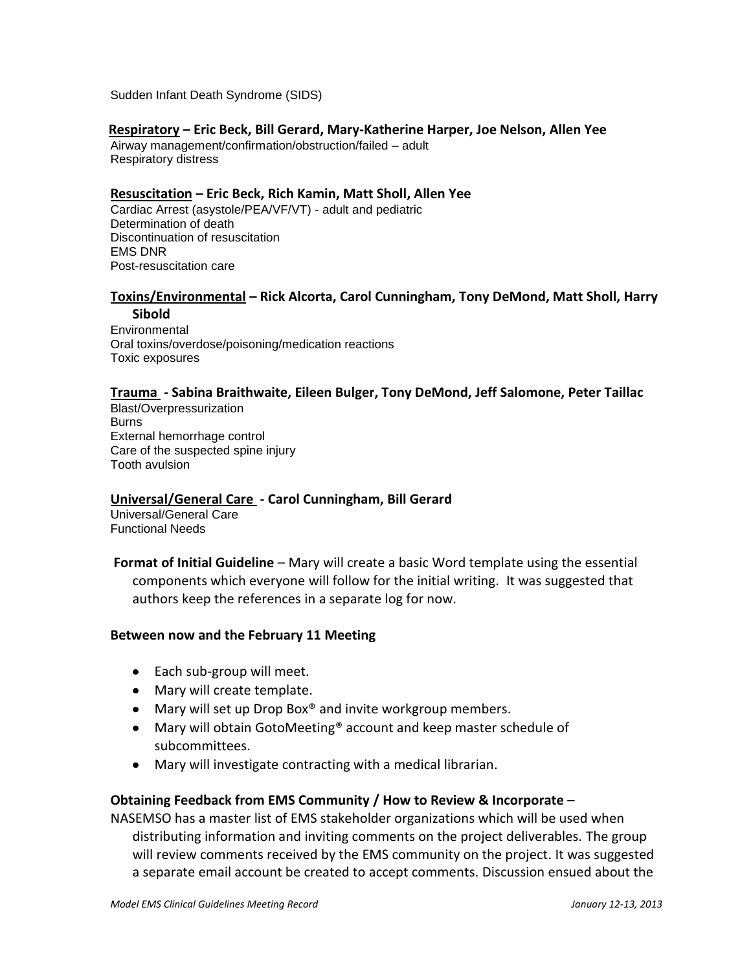Sudden Infant Death Syndrome (SIDS)

#### **Respiratory – Eric Beck, Bill Gerard, Mary-Katherine Harper, Joe Nelson, Allen Yee**

Airway management/confirmation/obstruction/failed – adult Respiratory distress

#### **Resuscitation – Eric Beck, Rich Kamin, Matt Sholl, Allen Yee**

Cardiac Arrest (asystole/PEA/VF/VT) - adult and pediatric Determination of death Discontinuation of resuscitation EMS DNR Post-resuscitation care

#### **Toxins/Environmental – Rick Alcorta, Carol Cunningham, Tony DeMond, Matt Sholl, Harry Sibold**

Environmental Oral toxins/overdose/poisoning/medication reactions Toxic exposures

#### **Trauma - Sabina Braithwaite, Eileen Bulger, Tony DeMond, Jeff Salomone, Peter Taillac**

Blast/Overpressurization Burns External hemorrhage control Care of the suspected spine injury Tooth avulsion

#### **Universal/General Care - Carol Cunningham, Bill Gerard**

Universal/General Care Functional Needs

**Format of Initial Guideline** – Mary will create a basic Word template using the essential components which everyone will follow for the initial writing. It was suggested that authors keep the references in a separate log for now.

#### **Between now and the February 11 Meeting**

- Each sub-group will meet.
- Mary will create template.
- Mary will set up Drop Box<sup>®</sup> and invite workgroup members.
- Mary will obtain GotoMeeting<sup>®</sup> account and keep master schedule of subcommittees.
- Mary will investigate contracting with a medical librarian.

#### **Obtaining Feedback from EMS Community / How to Review & Incorporate** –

NASEMSO has a master list of EMS stakeholder organizations which will be used when distributing information and inviting comments on the project deliverables. The group will review comments received by the EMS community on the project. It was suggested a separate email account be created to accept comments. Discussion ensued about the